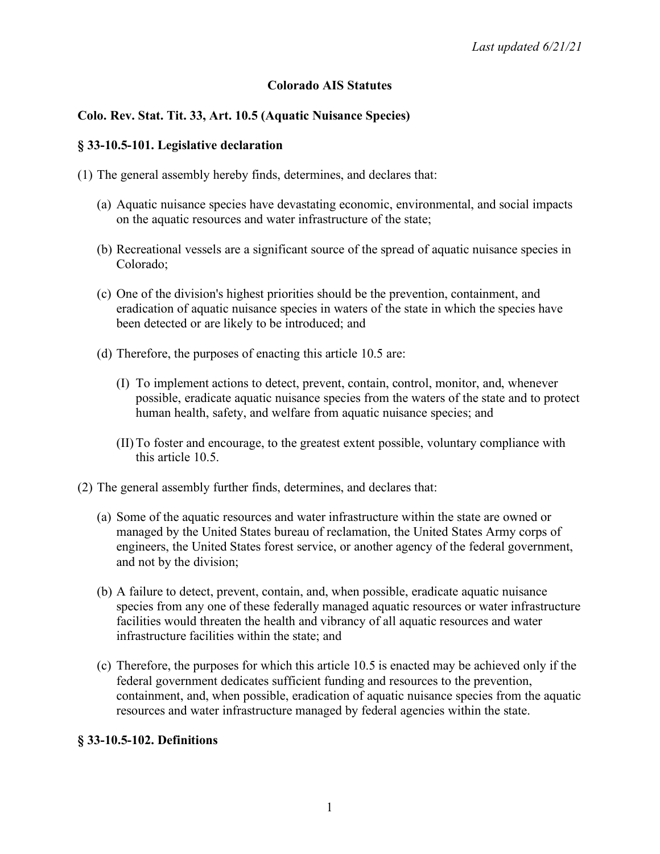#### **Colorado AIS Statutes**

### **Colo. Rev. Stat. Tit. 33, Art. 10.5 (Aquatic Nuisance Species)**

#### **§ 33-10.5-101. Legislative declaration**

- (1) The general assembly hereby finds, determines, and declares that:
	- (a) Aquatic nuisance species have devastating economic, environmental, and social impacts on the aquatic resources and water infrastructure of the state;
	- (b) Recreational vessels are a significant source of the spread of aquatic nuisance species in Colorado;
	- (c) One of the division's highest priorities should be the prevention, containment, and eradication of aquatic nuisance species in waters of the state in which the species have been detected or are likely to be introduced; and
	- (d) Therefore, the purposes of enacting this article 10.5 are:
		- (I) To implement actions to detect, prevent, contain, control, monitor, and, whenever possible, eradicate aquatic nuisance species from the waters of the state and to protect human health, safety, and welfare from aquatic nuisance species; and
		- (II)To foster and encourage, to the greatest extent possible, voluntary compliance with this article 10.5.
- (2) The general assembly further finds, determines, and declares that:
	- (a) Some of the aquatic resources and water infrastructure within the state are owned or managed by the United States bureau of reclamation, the United States Army corps of engineers, the United States forest service, or another agency of the federal government, and not by the division;
	- (b) A failure to detect, prevent, contain, and, when possible, eradicate aquatic nuisance species from any one of these federally managed aquatic resources or water infrastructure facilities would threaten the health and vibrancy of all aquatic resources and water infrastructure facilities within the state; and
	- (c) Therefore, the purposes for which this article 10.5 is enacted may be achieved only if the federal government dedicates sufficient funding and resources to the prevention, containment, and, when possible, eradication of aquatic nuisance species from the aquatic resources and water infrastructure managed by federal agencies within the state.

#### **§ 33-10.5-102. Definitions**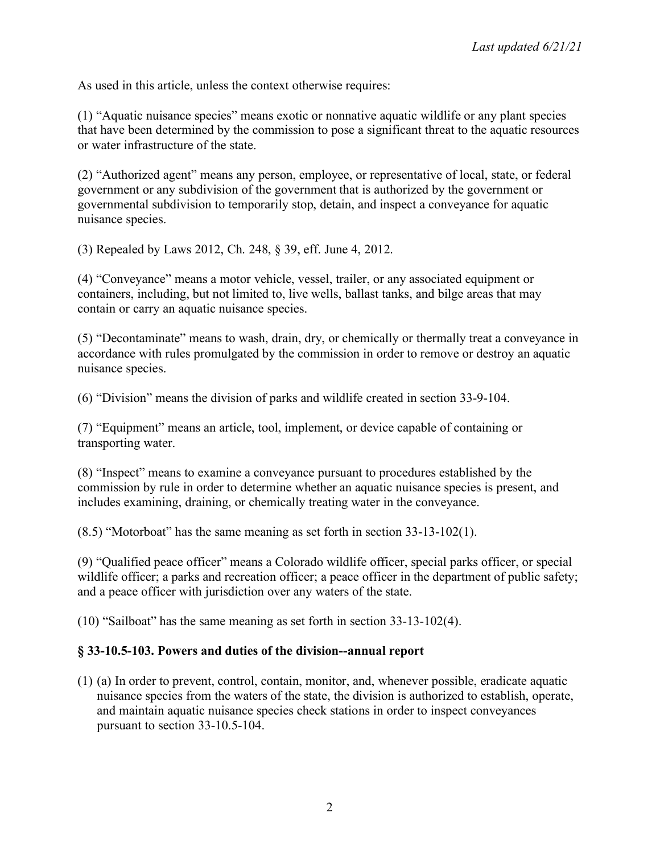As used in this article, unless the context otherwise requires:

(1) "Aquatic nuisance species" means exotic or nonnative aquatic wildlife or any plant species that have been determined by the commission to pose a significant threat to the aquatic resources or water infrastructure of the state.

(2) "Authorized agent" means any person, employee, or representative of local, state, or federal government or any subdivision of the government that is authorized by the government or governmental subdivision to temporarily stop, detain, and inspect a conveyance for aquatic nuisance species.

(3) Repealed by Laws 2012, Ch. 248, § 39, eff. June 4, 2012.

(4) "Conveyance" means a motor vehicle, vessel, trailer, or any associated equipment or containers, including, but not limited to, live wells, ballast tanks, and bilge areas that may contain or carry an aquatic nuisance species.

(5) "Decontaminate" means to wash, drain, dry, or chemically or thermally treat a conveyance in accordance with rules promulgated by the commission in order to remove or destroy an aquatic nuisance species.

(6) "Division" means the division of parks and wildlife created in section 33-9-104.

(7) "Equipment" means an article, tool, implement, or device capable of containing or transporting water.

(8) "Inspect" means to examine a conveyance pursuant to procedures established by the commission by rule in order to determine whether an aquatic nuisance species is present, and includes examining, draining, or chemically treating water in the conveyance.

(8.5) "Motorboat" has the same meaning as set forth in section 33-13-102(1).

(9) "Qualified peace officer" means a Colorado wildlife officer, special parks officer, or special wildlife officer; a parks and recreation officer; a peace officer in the department of public safety; and a peace officer with jurisdiction over any waters of the state.

(10) "Sailboat" has the same meaning as set forth in section 33-13-102(4).

#### **§ 33-10.5-103. Powers and duties of the division--annual report**

(1) (a) In order to prevent, control, contain, monitor, and, whenever possible, eradicate aquatic nuisance species from the waters of the state, the division is authorized to establish, operate, and maintain aquatic nuisance species check stations in order to inspect conveyances pursuant to section 33-10.5-104.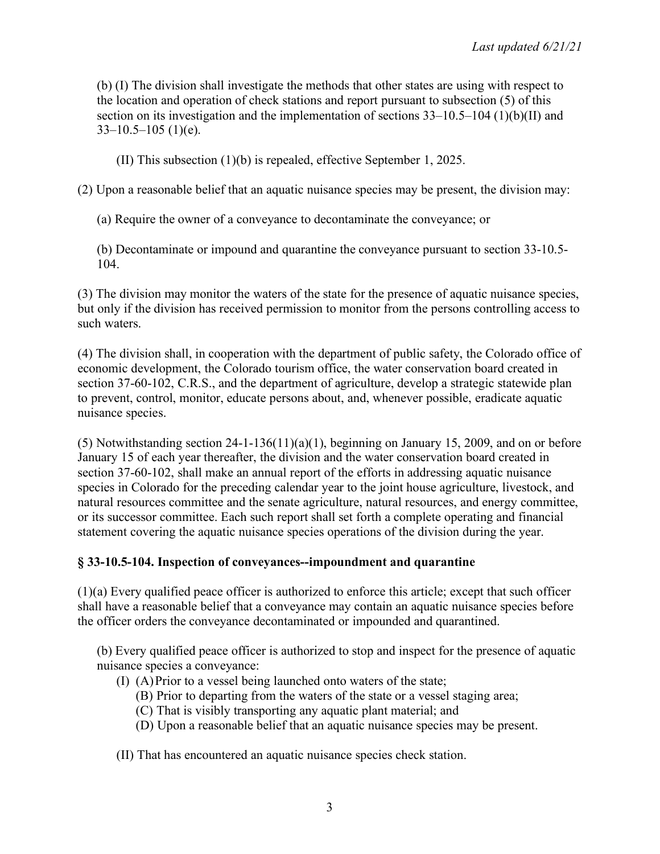(b) (I) The division shall investigate the methods that other states are using with respect to the location and operation of check stations and report pursuant to subsection (5) of this section on its investigation and the implementation of sections 33–10.5–104 (1)(b)(II) and  $33-10.5-105$  (1)(e).

(II) This subsection (1)(b) is repealed, effective September 1, 2025.

(2) Upon a reasonable belief that an aquatic nuisance species may be present, the division may:

(a) Require the owner of a conveyance to decontaminate the conveyance; or

(b) Decontaminate or impound and quarantine the conveyance pursuant to section 33-10.5- 104.

(3) The division may monitor the waters of the state for the presence of aquatic nuisance species, but only if the division has received permission to monitor from the persons controlling access to such waters.

(4) The division shall, in cooperation with the department of public safety, the Colorado office of economic development, the Colorado tourism office, the water conservation board created in section 37-60-102, C.R.S., and the department of agriculture, develop a strategic statewide plan to prevent, control, monitor, educate persons about, and, whenever possible, eradicate aquatic nuisance species.

(5) Notwithstanding section 24-1-136(11)(a)(1), beginning on January 15, 2009, and on or before January 15 of each year thereafter, the division and the water conservation board created in section 37-60-102, shall make an annual report of the efforts in addressing aquatic nuisance species in Colorado for the preceding calendar year to the joint house agriculture, livestock, and natural resources committee and the senate agriculture, natural resources, and energy committee, or its successor committee. Each such report shall set forth a complete operating and financial statement covering the aquatic nuisance species operations of the division during the year.

# **§ 33-10.5-104. Inspection of conveyances--impoundment and quarantine**

(1)(a) Every qualified peace officer is authorized to enforce this article; except that such officer shall have a reasonable belief that a conveyance may contain an aquatic nuisance species before the officer orders the conveyance decontaminated or impounded and quarantined.

(b) Every qualified peace officer is authorized to stop and inspect for the presence of aquatic nuisance species a conveyance:

- (I) (A)Prior to a vessel being launched onto waters of the state;
	- (B) Prior to departing from the waters of the state or a vessel staging area;
	- (C) That is visibly transporting any aquatic plant material; and
	- (D) Upon a reasonable belief that an aquatic nuisance species may be present.
- (II) That has encountered an aquatic nuisance species check station.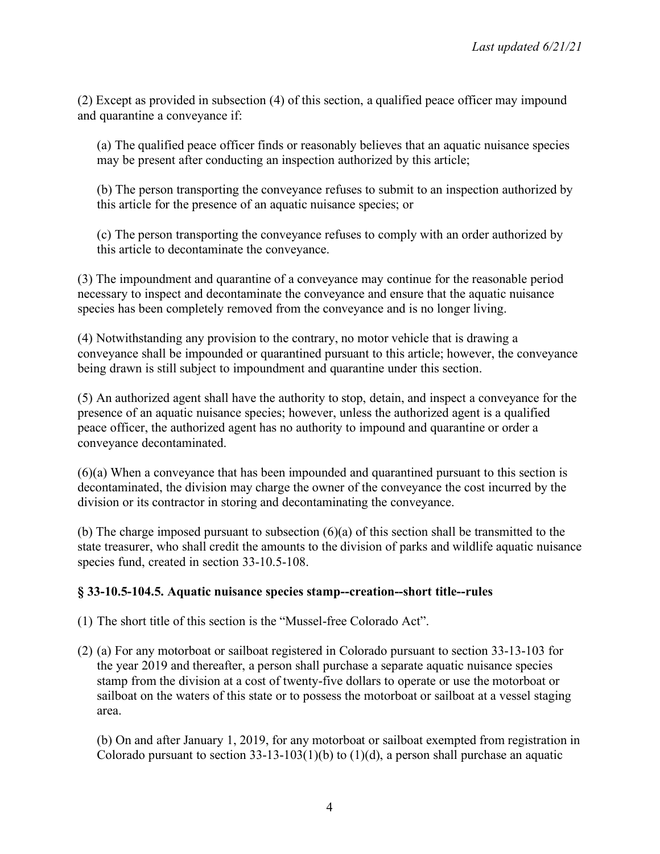(2) Except as provided in subsection (4) of this section, a qualified peace officer may impound and quarantine a conveyance if:

(a) The qualified peace officer finds or reasonably believes that an aquatic nuisance species may be present after conducting an inspection authorized by this article;

(b) The person transporting the conveyance refuses to submit to an inspection authorized by this article for the presence of an aquatic nuisance species; or

(c) The person transporting the conveyance refuses to comply with an order authorized by this article to decontaminate the conveyance.

(3) The impoundment and quarantine of a conveyance may continue for the reasonable period necessary to inspect and decontaminate the conveyance and ensure that the aquatic nuisance species has been completely removed from the conveyance and is no longer living.

(4) Notwithstanding any provision to the contrary, no motor vehicle that is drawing a conveyance shall be impounded or quarantined pursuant to this article; however, the conveyance being drawn is still subject to impoundment and quarantine under this section.

(5) An authorized agent shall have the authority to stop, detain, and inspect a conveyance for the presence of an aquatic nuisance species; however, unless the authorized agent is a qualified peace officer, the authorized agent has no authority to impound and quarantine or order a conveyance decontaminated.

(6)(a) When a conveyance that has been impounded and quarantined pursuant to this section is decontaminated, the division may charge the owner of the conveyance the cost incurred by the division or its contractor in storing and decontaminating the conveyance.

(b) The charge imposed pursuant to subsection (6)(a) of this section shall be transmitted to the state treasurer, who shall credit the amounts to the division of parks and wildlife aquatic nuisance species fund, created in section 33-10.5-108.

# **§ 33-10.5-104.5. Aquatic nuisance species stamp--creation--short title--rules**

(1) The short title of this section is the "Mussel-free Colorado Act".

(2) (a) For any motorboat or sailboat registered in Colorado pursuant to section 33-13-103 for the year 2019 and thereafter, a person shall purchase a separate aquatic nuisance species stamp from the division at a cost of twenty-five dollars to operate or use the motorboat or sailboat on the waters of this state or to possess the motorboat or sailboat at a vessel staging area.

(b) On and after January 1, 2019, for any motorboat or sailboat exempted from registration in Colorado pursuant to section  $33-13-103(1)(b)$  to  $(1)(d)$ , a person shall purchase an aquatic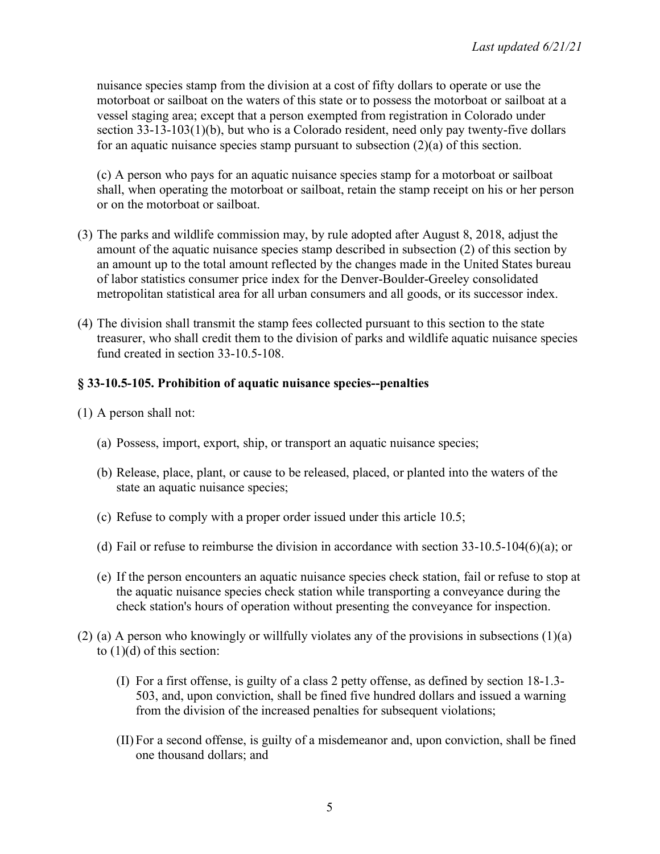nuisance species stamp from the division at a cost of fifty dollars to operate or use the motorboat or sailboat on the waters of this state or to possess the motorboat or sailboat at a vessel staging area; except that a person exempted from registration in Colorado under section 33-13-103(1)(b), but who is a Colorado resident, need only pay twenty-five dollars for an aquatic nuisance species stamp pursuant to subsection (2)(a) of this section.

(c) A person who pays for an aquatic nuisance species stamp for a motorboat or sailboat shall, when operating the motorboat or sailboat, retain the stamp receipt on his or her person or on the motorboat or sailboat.

- (3) The parks and wildlife commission may, by rule adopted after August 8, 2018, adjust the amount of the aquatic nuisance species stamp described in subsection (2) of this section by an amount up to the total amount reflected by the changes made in the United States bureau of labor statistics consumer price index for the Denver-Boulder-Greeley consolidated metropolitan statistical area for all urban consumers and all goods, or its successor index.
- (4) The division shall transmit the stamp fees collected pursuant to this section to the state treasurer, who shall credit them to the division of parks and wildlife aquatic nuisance species fund created in section 33-10.5-108.

# **§ 33-10.5-105. Prohibition of aquatic nuisance species--penalties**

(1) A person shall not:

- (a) Possess, import, export, ship, or transport an aquatic nuisance species;
- (b) Release, place, plant, or cause to be released, placed, or planted into the waters of the state an aquatic nuisance species;
- (c) Refuse to comply with a proper order issued under this article 10.5;
- (d) Fail or refuse to reimburse the division in accordance with section 33-10.5-104(6)(a); or
- (e) If the person encounters an aquatic nuisance species check station, fail or refuse to stop at the aquatic nuisance species check station while transporting a conveyance during the check station's hours of operation without presenting the conveyance for inspection.
- (2) (a) A person who knowingly or willfully violates any of the provisions in subsections (1)(a) to  $(1)(d)$  of this section:
	- (I) For a first offense, is guilty of a class 2 petty offense, as defined by section 18-1.3- 503, and, upon conviction, shall be fined five hundred dollars and issued a warning from the division of the increased penalties for subsequent violations;
	- (II) For a second offense, is guilty of a misdemeanor and, upon conviction, shall be fined one thousand dollars; and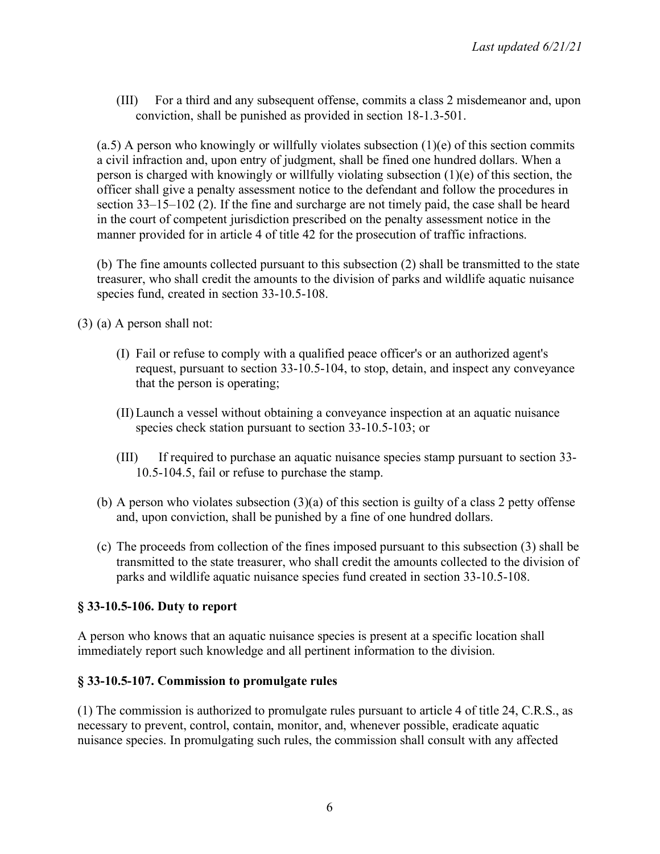(III) For a third and any subsequent offense, commits a class 2 misdemeanor and, upon conviction, shall be punished as provided in section 18-1.3-501.

 $(a.5)$  A person who knowingly or willfully violates subsection  $(1)(e)$  of this section commits a civil infraction and, upon entry of judgment, shall be fined one hundred dollars. When a person is charged with knowingly or willfully violating subsection (1)(e) of this section, the officer shall give a penalty assessment notice to the defendant and follow the procedures in section 33–15–102 (2). If the fine and surcharge are not timely paid, the case shall be heard in the court of competent jurisdiction prescribed on the penalty assessment notice in the manner provided for in article 4 of title 42 for the prosecution of traffic infractions.

(b) The fine amounts collected pursuant to this subsection (2) shall be transmitted to the state treasurer, who shall credit the amounts to the division of parks and wildlife aquatic nuisance species fund, created in section 33-10.5-108.

(3) (a) A person shall not:

- (I) Fail or refuse to comply with a qualified peace officer's or an authorized agent's request, pursuant to section 33-10.5-104, to stop, detain, and inspect any conveyance that the person is operating;
- (II)Launch a vessel without obtaining a conveyance inspection at an aquatic nuisance species check station pursuant to section 33-10.5-103; or
- (III) If required to purchase an aquatic nuisance species stamp pursuant to section 33- 10.5-104.5, fail or refuse to purchase the stamp.
- (b) A person who violates subsection  $(3)(a)$  of this section is guilty of a class 2 petty offense and, upon conviction, shall be punished by a fine of one hundred dollars.
- (c) The proceeds from collection of the fines imposed pursuant to this subsection (3) shall be transmitted to the state treasurer, who shall credit the amounts collected to the division of parks and wildlife aquatic nuisance species fund created in section 33-10.5-108.

# **§ 33-10.5-106. Duty to report**

A person who knows that an aquatic nuisance species is present at a specific location shall immediately report such knowledge and all pertinent information to the division.

# **§ 33-10.5-107. Commission to promulgate rules**

(1) The commission is authorized to promulgate rules pursuant to article 4 of title 24, C.R.S., as necessary to prevent, control, contain, monitor, and, whenever possible, eradicate aquatic nuisance species. In promulgating such rules, the commission shall consult with any affected